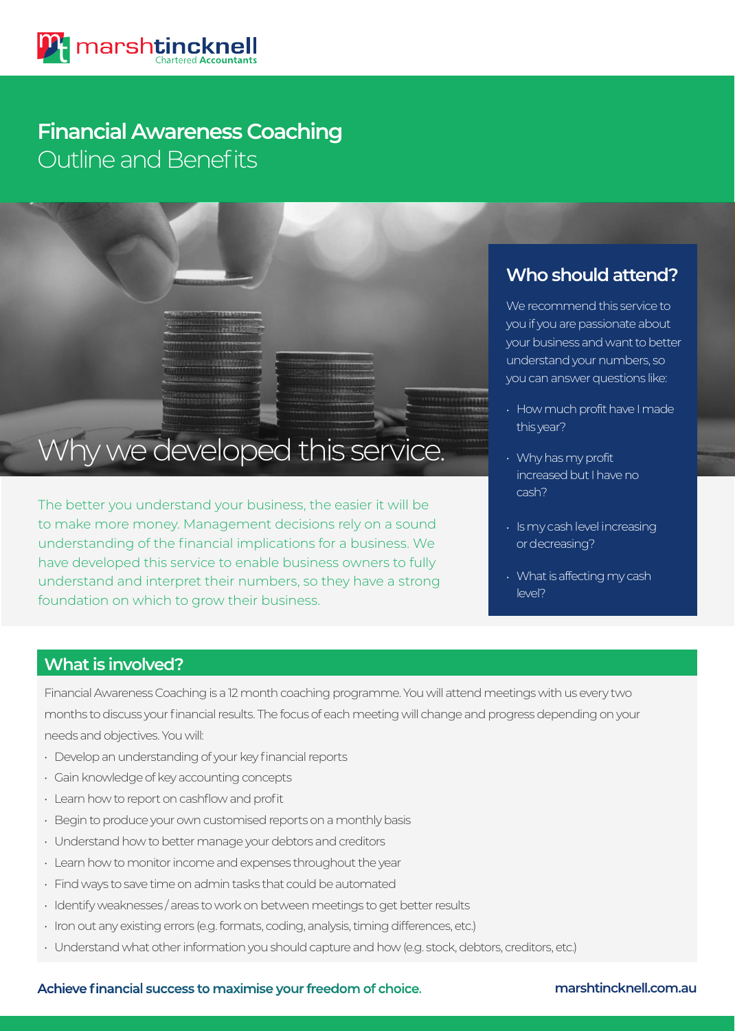# Outline and Benefits **Financial Awareness Coaching**



The better you understand your business, the easier it will be to make more money. Management decisions rely on a sound understanding of the financial implications for a business. We have developed this service to enable business owners to fully understand and interpret their numbers, so they have a strong foundation on which to grow their business.

## **Who should attend?**

We recommend this service to you if you are passionate about your business and want to better understand your numbers, so you can answer questions like:

- How much profit have I made this year?
- Why has my profit increased but I have no cash?
- Is my cash level increasing or decreasing?
- What is affecting my cash level?

## **What is involved?**

Financial Awareness Coaching is a 12 month coaching programme. You will attend meetings with us every two months to discuss your financial results. The focus of each meeting will change and progress depending on your needs and objectives. You will:

- Develop an understanding of your key financial reports
- Gain knowledge of key accounting concepts
- Learn how to report on cashflow and profit
- Begin to produce your own customised reports on a monthly basis
- Understand how to better manage your debtors and creditors
- Learn how to monitor income and expenses throughout the year
- Find ways to save time on admin tasks that could be automated
- Identify weaknesses / areas to work on between meetings to get better results
- Iron out any existing errors (e.g. formats, coding, analysis, timing differences, etc.)
- Understand what other information you should capture and how (e.g. stock, debtors, creditors, etc.)

### **Achieve financial success to maximise your freedom of choice. marshtincknell.com.au**